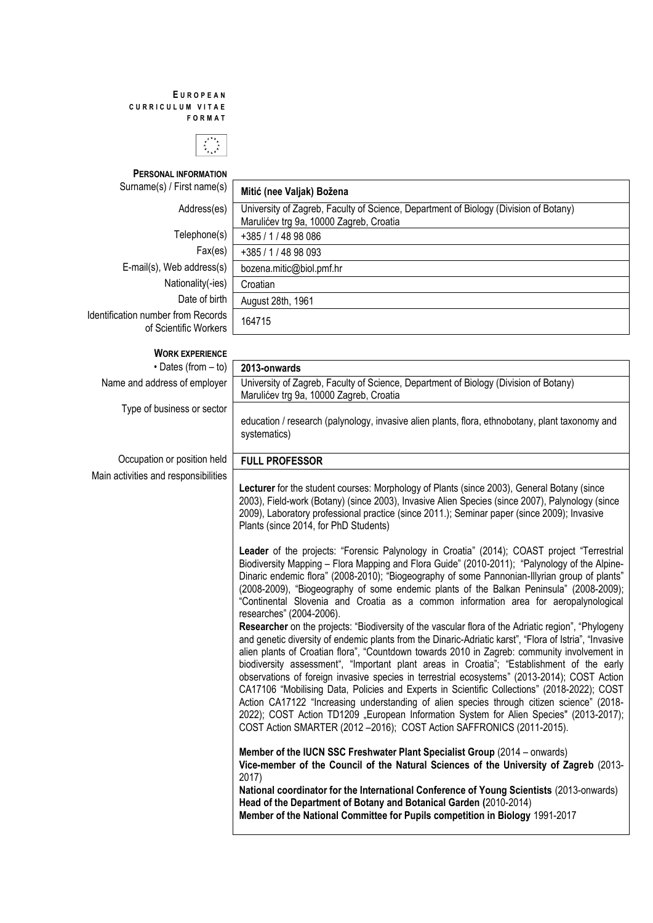## **E U R O P E A N C U R R I C U L U M V I T A E F O R M A T**



**PERSONAL INFORMATION**

E-mail(s), Web address(s)  $\overline{\bigcup_{\text{bozena.mitic@biol.pmf.br}}$ Nationality(-ies) Croatian Identification number from Records humber from Records<br>of Scientific Workers 164715

Surname(s) / First name(s) **Mitić (nee Valjak) Božena** Address(es) | University of Zagreb, Faculty of Science, Department of Biology (Division of Botany) Marulićev trg 9a, 10000 Zagreb, Croatia Telephone(s) +385 / 1 / 48 98 086 Fax(es) +385 / 1 / 48 98 093 Date of birth | August 28th, 1961

| <b>WORK EXPERIENCE</b>               |                                                                                                                                                                                                                                                                                                                                                                                                                                                                                                                                                                                                                                                                                                                                                                                                                                                                            |
|--------------------------------------|----------------------------------------------------------------------------------------------------------------------------------------------------------------------------------------------------------------------------------------------------------------------------------------------------------------------------------------------------------------------------------------------------------------------------------------------------------------------------------------------------------------------------------------------------------------------------------------------------------------------------------------------------------------------------------------------------------------------------------------------------------------------------------------------------------------------------------------------------------------------------|
| $\cdot$ Dates (from $-$ to)          | 2013-onwards                                                                                                                                                                                                                                                                                                                                                                                                                                                                                                                                                                                                                                                                                                                                                                                                                                                               |
| Name and address of employer         | University of Zagreb, Faculty of Science, Department of Biology (Division of Botany)<br>Marulićev trg 9a, 10000 Zagreb, Croatia                                                                                                                                                                                                                                                                                                                                                                                                                                                                                                                                                                                                                                                                                                                                            |
| Type of business or sector           | education / research (palynology, invasive alien plants, flora, ethnobotany, plant taxonomy and<br>systematics)                                                                                                                                                                                                                                                                                                                                                                                                                                                                                                                                                                                                                                                                                                                                                            |
| Occupation or position held          | <b>FULL PROFESSOR</b>                                                                                                                                                                                                                                                                                                                                                                                                                                                                                                                                                                                                                                                                                                                                                                                                                                                      |
| Main activities and responsibilities | Lecturer for the student courses: Morphology of Plants (since 2003), General Botany (since<br>2003), Field-work (Botany) (since 2003), Invasive Alien Species (since 2007), Palynology (since<br>2009), Laboratory professional practice (since 2011.); Seminar paper (since 2009); Invasive<br>Plants (since 2014, for PhD Students)                                                                                                                                                                                                                                                                                                                                                                                                                                                                                                                                      |
|                                      | Leader of the projects: "Forensic Palynology in Croatia" (2014); COAST project "Terrestrial<br>Biodiversity Mapping - Flora Mapping and Flora Guide" (2010-2011); "Palynology of the Alpine-<br>Dinaric endemic flora" (2008-2010); "Biogeography of some Pannonian-Illyrian group of plants"<br>(2008-2009), "Biogeography of some endemic plants of the Balkan Peninsula" (2008-2009);<br>"Continental Slovenia and Croatia as a common information area for aeropalynological<br>researches" (2004-2006).                                                                                                                                                                                                                                                                                                                                                               |
|                                      | Researcher on the projects: "Biodiversity of the vascular flora of the Adriatic region", "Phylogeny<br>and genetic diversity of endemic plants from the Dinaric-Adriatic karst", "Flora of Istria", "Invasive<br>alien plants of Croatian flora", "Countdown towards 2010 in Zagreb: community involvement in<br>biodiversity assessment", "Important plant areas in Croatia"; "Establishment of the early<br>observations of foreign invasive species in terrestrial ecosystems" (2013-2014); COST Action<br>CA17106 "Mobilising Data, Policies and Experts in Scientific Collections" (2018-2022); COST<br>Action CA17122 "Increasing understanding of alien species through citizen science" (2018-<br>2022); COST Action TD1209 "European Information System for Alien Species" (2013-2017);<br>COST Action SMARTER (2012 - 2016); COST Action SAFFRONICS (2011-2015). |
|                                      | Member of the IUCN SSC Freshwater Plant Specialist Group (2014 - onwards)<br>Vice-member of the Council of the Natural Sciences of the University of Zagreb (2013-<br>2017)<br>National coordinator for the International Conference of Young Scientists (2013-onwards)<br>Head of the Department of Botany and Botanical Garden (2010-2014)<br>Member of the National Committee for Pupils competition in Biology 1991-2017                                                                                                                                                                                                                                                                                                                                                                                                                                               |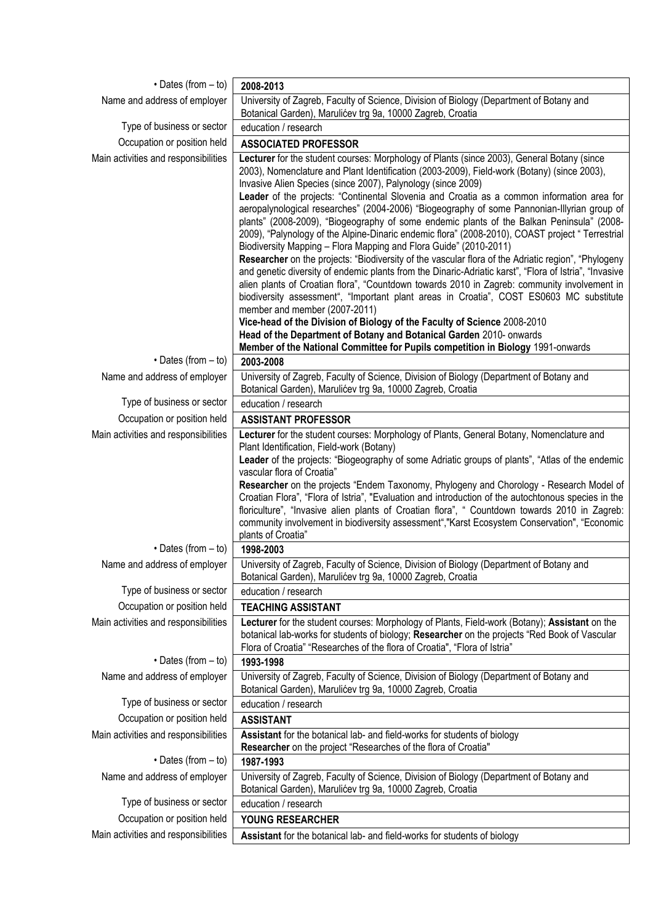| $\cdot$ Dates (from $-$ to)                                         | 2008-2013                                                                                                                                                                                                                                                                                                                                                                                                                                                                                                                                                                                                                                                                                                                                                                                                                                                                                                                                                                                                                                                                                                                                                                                                                                                                                                                   |
|---------------------------------------------------------------------|-----------------------------------------------------------------------------------------------------------------------------------------------------------------------------------------------------------------------------------------------------------------------------------------------------------------------------------------------------------------------------------------------------------------------------------------------------------------------------------------------------------------------------------------------------------------------------------------------------------------------------------------------------------------------------------------------------------------------------------------------------------------------------------------------------------------------------------------------------------------------------------------------------------------------------------------------------------------------------------------------------------------------------------------------------------------------------------------------------------------------------------------------------------------------------------------------------------------------------------------------------------------------------------------------------------------------------|
| Name and address of employer                                        | University of Zagreb, Faculty of Science, Division of Biology (Department of Botany and<br>Botanical Garden), Marulićev trg 9a, 10000 Zagreb, Croatia                                                                                                                                                                                                                                                                                                                                                                                                                                                                                                                                                                                                                                                                                                                                                                                                                                                                                                                                                                                                                                                                                                                                                                       |
| Type of business or sector                                          | education / research                                                                                                                                                                                                                                                                                                                                                                                                                                                                                                                                                                                                                                                                                                                                                                                                                                                                                                                                                                                                                                                                                                                                                                                                                                                                                                        |
| Occupation or position held                                         | <b>ASSOCIATED PROFESSOR</b>                                                                                                                                                                                                                                                                                                                                                                                                                                                                                                                                                                                                                                                                                                                                                                                                                                                                                                                                                                                                                                                                                                                                                                                                                                                                                                 |
| Main activities and responsibilities                                | Lecturer for the student courses: Morphology of Plants (since 2003), General Botany (since<br>2003), Nomenclature and Plant Identification (2003-2009), Field-work (Botany) (since 2003),<br>Invasive Alien Species (since 2007), Palynology (since 2009)<br>Leader of the projects: "Continental Slovenia and Croatia as a common information area for<br>aeropalynological researches" (2004-2006) "Biogeography of some Pannonian-Illyrian group of<br>plants" (2008-2009), "Biogeography of some endemic plants of the Balkan Peninsula" (2008-<br>2009), "Palynology of the Alpine-Dinaric endemic flora" (2008-2010), COAST project "Terrestrial<br>Biodiversity Mapping - Flora Mapping and Flora Guide" (2010-2011)<br>Researcher on the projects: "Biodiversity of the vascular flora of the Adriatic region", "Phylogeny<br>and genetic diversity of endemic plants from the Dinaric-Adriatic karst", "Flora of Istria", "Invasive<br>alien plants of Croatian flora", "Countdown towards 2010 in Zagreb: community involvement in<br>biodiversity assessment", "Important plant areas in Croatia", COST ES0603 MC substitute<br>member and member (2007-2011)<br>Vice-head of the Division of Biology of the Faculty of Science 2008-2010<br>Head of the Department of Botany and Botanical Garden 2010- onwards |
| $\cdot$ Dates (from $-$ to)                                         | Member of the National Committee for Pupils competition in Biology 1991-onwards<br>2003-2008                                                                                                                                                                                                                                                                                                                                                                                                                                                                                                                                                                                                                                                                                                                                                                                                                                                                                                                                                                                                                                                                                                                                                                                                                                |
| Name and address of employer                                        | University of Zagreb, Faculty of Science, Division of Biology (Department of Botany and                                                                                                                                                                                                                                                                                                                                                                                                                                                                                                                                                                                                                                                                                                                                                                                                                                                                                                                                                                                                                                                                                                                                                                                                                                     |
|                                                                     | Botanical Garden), Marulićev trg 9a, 10000 Zagreb, Croatia                                                                                                                                                                                                                                                                                                                                                                                                                                                                                                                                                                                                                                                                                                                                                                                                                                                                                                                                                                                                                                                                                                                                                                                                                                                                  |
| Type of business or sector                                          | education / research                                                                                                                                                                                                                                                                                                                                                                                                                                                                                                                                                                                                                                                                                                                                                                                                                                                                                                                                                                                                                                                                                                                                                                                                                                                                                                        |
| Occupation or position held<br>Main activities and responsibilities | <b>ASSISTANT PROFESSOR</b><br>Lecturer for the student courses: Morphology of Plants, General Botany, Nomenclature and                                                                                                                                                                                                                                                                                                                                                                                                                                                                                                                                                                                                                                                                                                                                                                                                                                                                                                                                                                                                                                                                                                                                                                                                      |
|                                                                     | Plant Identification, Field-work (Botany)<br>Leader of the projects: "Biogeography of some Adriatic groups of plants", "Atlas of the endemic<br>vascular flora of Croatia"<br>Researcher on the projects "Endem Taxonomy, Phylogeny and Chorology - Research Model of<br>Croatian Flora", "Flora of Istria", "Evaluation and introduction of the autochtonous species in the<br>floriculture", "Invasive alien plants of Croatian flora", " Countdown towards 2010 in Zagreb:<br>community involvement in biodiversity assessment","Karst Ecosystem Conservation", "Economic<br>plants of Croatia"                                                                                                                                                                                                                                                                                                                                                                                                                                                                                                                                                                                                                                                                                                                          |
| $\cdot$ Dates (from $-$ to)                                         | 1998-2003                                                                                                                                                                                                                                                                                                                                                                                                                                                                                                                                                                                                                                                                                                                                                                                                                                                                                                                                                                                                                                                                                                                                                                                                                                                                                                                   |
| Name and address of employer                                        | University of Zagreb, Faculty of Science, Division of Biology (Department of Botany and                                                                                                                                                                                                                                                                                                                                                                                                                                                                                                                                                                                                                                                                                                                                                                                                                                                                                                                                                                                                                                                                                                                                                                                                                                     |
| Type of business or sector                                          | Botanical Garden), Marulićev trg 9a, 10000 Zagreb, Croatia<br>education / research                                                                                                                                                                                                                                                                                                                                                                                                                                                                                                                                                                                                                                                                                                                                                                                                                                                                                                                                                                                                                                                                                                                                                                                                                                          |
| Occupation or position held                                         | <b>TEACHING ASSISTANT</b>                                                                                                                                                                                                                                                                                                                                                                                                                                                                                                                                                                                                                                                                                                                                                                                                                                                                                                                                                                                                                                                                                                                                                                                                                                                                                                   |
| Main activities and responsibilities<br>$\cdot$ Dates (from $-$ to) | Lecturer for the student courses: Morphology of Plants, Field-work (Botany); Assistant on the<br>botanical lab-works for students of biology; Researcher on the projects "Red Book of Vascular<br>Flora of Croatia" "Researches of the flora of Croatia", "Flora of Istria"<br>1993-1998                                                                                                                                                                                                                                                                                                                                                                                                                                                                                                                                                                                                                                                                                                                                                                                                                                                                                                                                                                                                                                    |
|                                                                     | University of Zagreb, Faculty of Science, Division of Biology (Department of Botany and                                                                                                                                                                                                                                                                                                                                                                                                                                                                                                                                                                                                                                                                                                                                                                                                                                                                                                                                                                                                                                                                                                                                                                                                                                     |
| Name and address of employer                                        | Botanical Garden), Marulićev trg 9a, 10000 Zagreb, Croatia                                                                                                                                                                                                                                                                                                                                                                                                                                                                                                                                                                                                                                                                                                                                                                                                                                                                                                                                                                                                                                                                                                                                                                                                                                                                  |
| Type of business or sector                                          | education / research                                                                                                                                                                                                                                                                                                                                                                                                                                                                                                                                                                                                                                                                                                                                                                                                                                                                                                                                                                                                                                                                                                                                                                                                                                                                                                        |
| Occupation or position held                                         | <b>ASSISTANT</b>                                                                                                                                                                                                                                                                                                                                                                                                                                                                                                                                                                                                                                                                                                                                                                                                                                                                                                                                                                                                                                                                                                                                                                                                                                                                                                            |
| Main activities and responsibilities                                | Assistant for the botanical lab- and field-works for students of biology<br>Researcher on the project "Researches of the flora of Croatia"                                                                                                                                                                                                                                                                                                                                                                                                                                                                                                                                                                                                                                                                                                                                                                                                                                                                                                                                                                                                                                                                                                                                                                                  |
| $\cdot$ Dates (from $-$ to)                                         | 1987-1993                                                                                                                                                                                                                                                                                                                                                                                                                                                                                                                                                                                                                                                                                                                                                                                                                                                                                                                                                                                                                                                                                                                                                                                                                                                                                                                   |
| Name and address of employer                                        | University of Zagreb, Faculty of Science, Division of Biology (Department of Botany and<br>Botanical Garden), Marulićev trg 9a, 10000 Zagreb, Croatia                                                                                                                                                                                                                                                                                                                                                                                                                                                                                                                                                                                                                                                                                                                                                                                                                                                                                                                                                                                                                                                                                                                                                                       |
| Type of business or sector                                          | education / research                                                                                                                                                                                                                                                                                                                                                                                                                                                                                                                                                                                                                                                                                                                                                                                                                                                                                                                                                                                                                                                                                                                                                                                                                                                                                                        |
| Occupation or position held                                         | YOUNG RESEARCHER                                                                                                                                                                                                                                                                                                                                                                                                                                                                                                                                                                                                                                                                                                                                                                                                                                                                                                                                                                                                                                                                                                                                                                                                                                                                                                            |
| Main activities and responsibilities                                | Assistant for the botanical lab- and field-works for students of biology                                                                                                                                                                                                                                                                                                                                                                                                                                                                                                                                                                                                                                                                                                                                                                                                                                                                                                                                                                                                                                                                                                                                                                                                                                                    |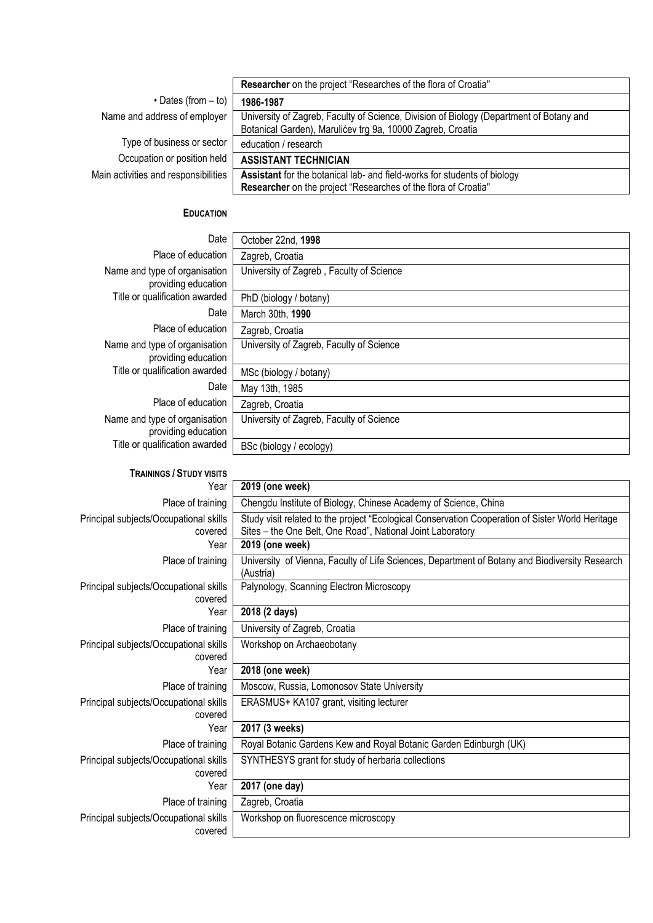|                                      | Researcher on the project "Researches of the flora of Croatia"                          |
|--------------------------------------|-----------------------------------------------------------------------------------------|
| $\cdot$ Dates (from $-$ to)          | 1986-1987                                                                               |
| Name and address of employer         | University of Zagreb, Faculty of Science, Division of Biology (Department of Botany and |
|                                      | Botanical Garden), Marulićev trg 9a, 10000 Zagreb, Croatia                              |
| Type of business or sector           | education / research                                                                    |
| Occupation or position held          | <b>ASSISTANT TECHNICIAN</b>                                                             |
| Main activities and responsibilities | Assistant for the botanical lab- and field-works for students of biology                |
|                                      | Researcher on the project "Researches of the flora of Croatia"                          |
|                                      |                                                                                         |

## **EDUCATION**

| Date                                                 | October 22nd, 1998                                                                                                                                             |
|------------------------------------------------------|----------------------------------------------------------------------------------------------------------------------------------------------------------------|
| Place of education                                   | Zagreb, Croatia                                                                                                                                                |
| Name and type of organisation<br>providing education | University of Zagreb, Faculty of Science                                                                                                                       |
| Title or qualification awarded                       | PhD (biology / botany)                                                                                                                                         |
| Date                                                 | March 30th, 1990                                                                                                                                               |
| Place of education                                   | Zagreb, Croatia                                                                                                                                                |
| Name and type of organisation<br>providing education | University of Zagreb, Faculty of Science                                                                                                                       |
| Title or qualification awarded                       | MSc (biology / botany)                                                                                                                                         |
| Date                                                 | May 13th, 1985                                                                                                                                                 |
| Place of education                                   | Zagreb, Croatia                                                                                                                                                |
| Name and type of organisation<br>providing education | University of Zagreb, Faculty of Science                                                                                                                       |
| Title or qualification awarded                       | BSc (biology / ecology)                                                                                                                                        |
| <b>TRAININGS / STUDY VISITS</b>                      |                                                                                                                                                                |
| Year                                                 | 2019 (one week)                                                                                                                                                |
| Place of training                                    | Chengdu Institute of Biology, Chinese Academy of Science, China                                                                                                |
| Principal subjects/Occupational skills<br>covered    | Study visit related to the project "Ecological Conservation Cooperation of Sister World Heritage<br>Sites - the One Belt, One Road", National Joint Laboratory |
| Year                                                 | 2019 (one week)                                                                                                                                                |
| Place of training                                    | University of Vienna, Faculty of Life Sciences, Department of Botany and Biodiversity Research<br>(Austria)                                                    |
| Principal subjects/Occupational skills<br>covered    | Palynology, Scanning Electron Microscopy                                                                                                                       |
| Year                                                 | 2018 (2 days)                                                                                                                                                  |
| Place of training                                    | University of Zagreb, Croatia                                                                                                                                  |
| Principal subjects/Occupational skills<br>covered    | Workshop on Archaeobotany                                                                                                                                      |
| Year                                                 | 2018 (one week)                                                                                                                                                |
| Place of training                                    | Moscow, Russia, Lomonosov State University                                                                                                                     |
| Principal subjects/Occupational skills<br>covered    | ERASMUS+ KA107 grant, visiting lecturer                                                                                                                        |
| Year                                                 | 2017 (3 weeks)                                                                                                                                                 |
| Place of training                                    | Royal Botanic Gardens Kew and Royal Botanic Garden Edinburgh (UK)                                                                                              |
| Principal subjects/Occupational skills<br>covered    | SYNTHESYS grant for study of herbaria collections                                                                                                              |
| Year                                                 | 2017 (one day)                                                                                                                                                 |
| Place of training                                    | Zagreb, Croatia                                                                                                                                                |
| Principal subjects/Occupational skills<br>covered    | Workshop on fluorescence microscopy                                                                                                                            |
|                                                      |                                                                                                                                                                |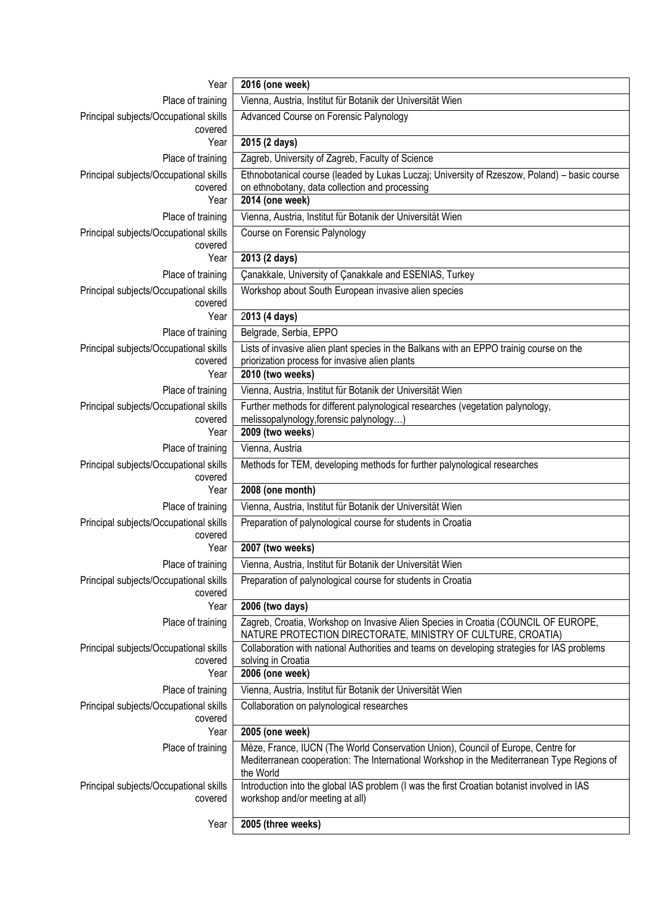| Year                                              | 2016 (one week)                                                                                                                                                                             |
|---------------------------------------------------|---------------------------------------------------------------------------------------------------------------------------------------------------------------------------------------------|
| Place of training                                 | Vienna, Austria, Institut für Botanik der Universität Wien                                                                                                                                  |
| Principal subjects/Occupational skills<br>covered | Advanced Course on Forensic Palynology                                                                                                                                                      |
| Year                                              | 2015 (2 days)                                                                                                                                                                               |
| Place of training                                 | Zagreb, University of Zagreb, Faculty of Science                                                                                                                                            |
| Principal subjects/Occupational skills<br>covered | Ethnobotanical course (leaded by Lukas Luczaj; University of Rzeszow, Poland) - basic course<br>on ethnobotany, data collection and processing                                              |
| Year                                              | 2014 (one week)                                                                                                                                                                             |
| Place of training                                 | Vienna, Austria, Institut für Botanik der Universität Wien                                                                                                                                  |
| Principal subjects/Occupational skills<br>covered | Course on Forensic Palynology                                                                                                                                                               |
| Year                                              | 2013 (2 days)                                                                                                                                                                               |
| Place of training                                 | Çanakkale, University of Çanakkale and ESENIAS, Turkey                                                                                                                                      |
| Principal subjects/Occupational skills<br>covered | Workshop about South European invasive alien species                                                                                                                                        |
| Year                                              | 2013 (4 days)                                                                                                                                                                               |
| Place of training                                 | Belgrade, Serbia, EPPO                                                                                                                                                                      |
| Principal subjects/Occupational skills<br>covered | Lists of invasive alien plant species in the Balkans with an EPPO trainig course on the<br>priorization process for invasive alien plants                                                   |
| Year                                              | 2010 (two weeks)                                                                                                                                                                            |
| Place of training                                 | Vienna, Austria, Institut für Botanik der Universität Wien                                                                                                                                  |
| Principal subjects/Occupational skills            | Further methods for different palynological researches (vegetation palynology,                                                                                                              |
| covered<br>Year                                   | melissopalynology, forensic palynology)<br>2009 (two weeks)                                                                                                                                 |
| Place of training                                 | Vienna, Austria                                                                                                                                                                             |
| Principal subjects/Occupational skills            | Methods for TEM, developing methods for further palynological researches                                                                                                                    |
| covered                                           |                                                                                                                                                                                             |
| Year                                              | 2008 (one month)                                                                                                                                                                            |
| Place of training                                 | Vienna, Austria, Institut für Botanik der Universität Wien                                                                                                                                  |
| Principal subjects/Occupational skills<br>covered | Preparation of palynological course for students in Croatia                                                                                                                                 |
| Year                                              | 2007 (two weeks)                                                                                                                                                                            |
| Place of training                                 | Vienna, Austria, Institut für Botanik der Universität Wien                                                                                                                                  |
| Principal subjects/Occupational skills<br>covered | Preparation of palynological course for students in Croatia                                                                                                                                 |
| Year                                              | 2006 (two days)                                                                                                                                                                             |
| Place of training                                 | Zagreb, Croatia, Workshop on Invasive Alien Species in Croatia (COUNCIL OF EUROPE,<br>NATURE PROTECTION DIRECTORATE, MINISTRY OF CULTURE, CROATIA)                                          |
| Principal subjects/Occupational skills<br>covered | Collaboration with national Authorities and teams on developing strategies for IAS problems<br>solving in Croatia                                                                           |
| Year                                              | 2006 (one week)                                                                                                                                                                             |
| Place of training                                 | Vienna, Austria, Institut für Botanik der Universität Wien                                                                                                                                  |
| Principal subjects/Occupational skills<br>covered | Collaboration on palynological researches                                                                                                                                                   |
| Year                                              | 2005 (one week)                                                                                                                                                                             |
| Place of training                                 | Mèze, France, IUCN (The World Conservation Union), Council of Europe, Centre for<br>Mediterranean cooperation: The International Workshop in the Mediterranean Type Regions of<br>the World |
| Principal subjects/Occupational skills<br>covered | Introduction into the global IAS problem (I was the first Croatian botanist involved in IAS<br>workshop and/or meeting at all)                                                              |
| Year                                              | 2005 (three weeks)                                                                                                                                                                          |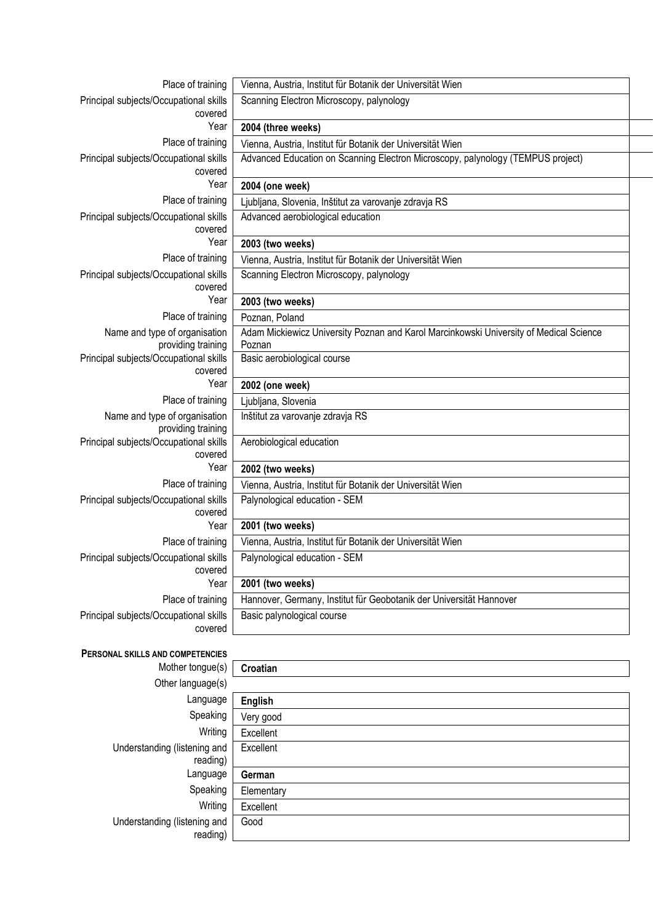| Place of training                                    | Vienna, Austria, Institut für Botanik der Universität Wien                                       |  |
|------------------------------------------------------|--------------------------------------------------------------------------------------------------|--|
| Principal subjects/Occupational skills               | Scanning Electron Microscopy, palynology                                                         |  |
| covered                                              |                                                                                                  |  |
| Year                                                 | 2004 (three weeks)                                                                               |  |
| Place of training                                    | Vienna, Austria, Institut für Botanik der Universität Wien                                       |  |
| Principal subjects/Occupational skills<br>covered    | Advanced Education on Scanning Electron Microscopy, palynology (TEMPUS project)                  |  |
| Year                                                 | 2004 (one week)                                                                                  |  |
| Place of training                                    | Ljubljana, Slovenia, Inštitut za varovanje zdravja RS                                            |  |
| Principal subjects/Occupational skills               | Advanced aerobiological education                                                                |  |
| covered                                              |                                                                                                  |  |
| Year                                                 | 2003 (two weeks)                                                                                 |  |
| Place of training                                    | Vienna, Austria, Institut für Botanik der Universität Wien                                       |  |
| Principal subjects/Occupational skills<br>covered    | Scanning Electron Microscopy, palynology                                                         |  |
| Year                                                 | 2003 (two weeks)                                                                                 |  |
| Place of training                                    | Poznan, Poland                                                                                   |  |
| Name and type of organisation<br>providing training  | Adam Mickiewicz University Poznan and Karol Marcinkowski University of Medical Science<br>Poznan |  |
| Principal subjects/Occupational skills<br>covered    | Basic aerobiological course                                                                      |  |
| Year                                                 | 2002 (one week)                                                                                  |  |
| Place of training                                    | Ljubljana, Slovenia                                                                              |  |
| Name and type of organisation<br>providing training  | Inštitut za varovanje zdravja RS                                                                 |  |
| Principal subjects/Occupational skills<br>covered    | Aerobiological education                                                                         |  |
| Year                                                 | 2002 (two weeks)                                                                                 |  |
| Place of training                                    | Vienna, Austria, Institut für Botanik der Universität Wien                                       |  |
| Principal subjects/Occupational skills<br>covered    | Palynological education - SEM                                                                    |  |
| Year                                                 | 2001 (two weeks)                                                                                 |  |
| Place of training                                    | Vienna, Austria, Institut für Botanik der Universität Wien                                       |  |
| Principal subjects/Occupational skills<br>covered    | Palynological education - SEM                                                                    |  |
| Year                                                 | 2001 (two weeks)                                                                                 |  |
| Place of training                                    | Hannover, Germany, Institut für Geobotanik der Universität Hannover                              |  |
| Principal subjects/Occupational skills<br>covered    | Basic palynological course                                                                       |  |
|                                                      |                                                                                                  |  |
| PERSONAL SKILLS AND COMPETENCIES<br>Mother tongue(s) | Croatian                                                                                         |  |
| Other language(s)                                    |                                                                                                  |  |
| Language                                             |                                                                                                  |  |
| Speaking                                             | <b>English</b>                                                                                   |  |
| Writing                                              | Very good                                                                                        |  |
| Understanding (listening and                         | Excellent<br>Excellent                                                                           |  |
| reading)<br>Language                                 |                                                                                                  |  |
| Speaking                                             | German                                                                                           |  |
|                                                      |                                                                                                  |  |
|                                                      | Elementary                                                                                       |  |
| Writing<br>Understanding (listening and              | Excellent<br>Good                                                                                |  |